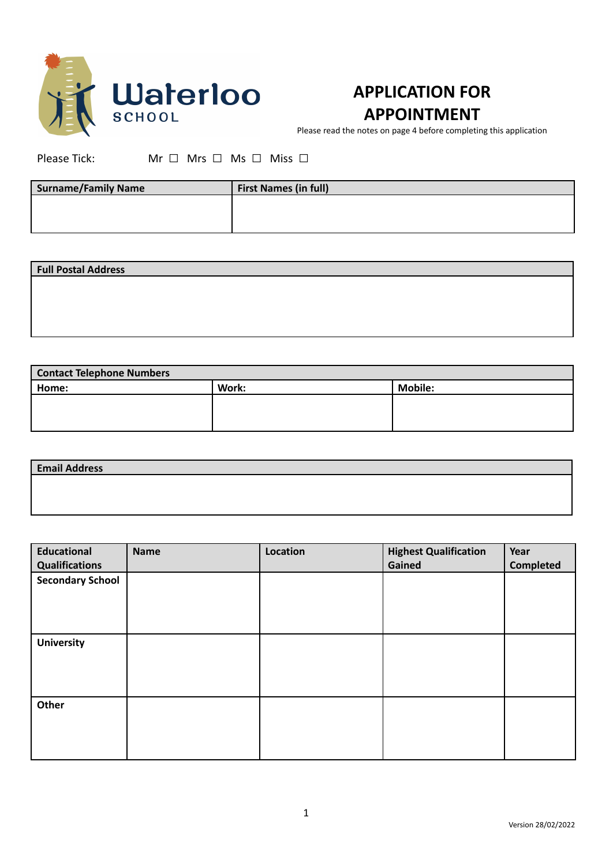

## **APPLICATION FOR APPOINTMENT**

Please read the notes on page 4 before completing this application

Please Tick: Mr □ Mrs □ Ms □ Miss □

| <b>Surname/Family Name</b> | <b>First Names (in full)</b> |
|----------------------------|------------------------------|
|                            |                              |
|                            |                              |

| <b>Full Postal Address</b> |  |  |
|----------------------------|--|--|
|                            |  |  |
|                            |  |  |
|                            |  |  |
|                            |  |  |

| <b>Contact Telephone Numbers</b> |       |                |  |
|----------------------------------|-------|----------------|--|
| Home:                            | Work: | <b>Mobile:</b> |  |
|                                  |       |                |  |
|                                  |       |                |  |
|                                  |       |                |  |

| <b>Email Address</b> |  |
|----------------------|--|
|                      |  |
|                      |  |

| <b>Educational</b><br><b>Qualifications</b> | <b>Name</b> | Location | <b>Highest Qualification</b><br>Gained | Year<br><b>Completed</b> |
|---------------------------------------------|-------------|----------|----------------------------------------|--------------------------|
| <b>Secondary School</b>                     |             |          |                                        |                          |
|                                             |             |          |                                        |                          |
| <b>University</b>                           |             |          |                                        |                          |
|                                             |             |          |                                        |                          |
| Other                                       |             |          |                                        |                          |
|                                             |             |          |                                        |                          |
|                                             |             |          |                                        |                          |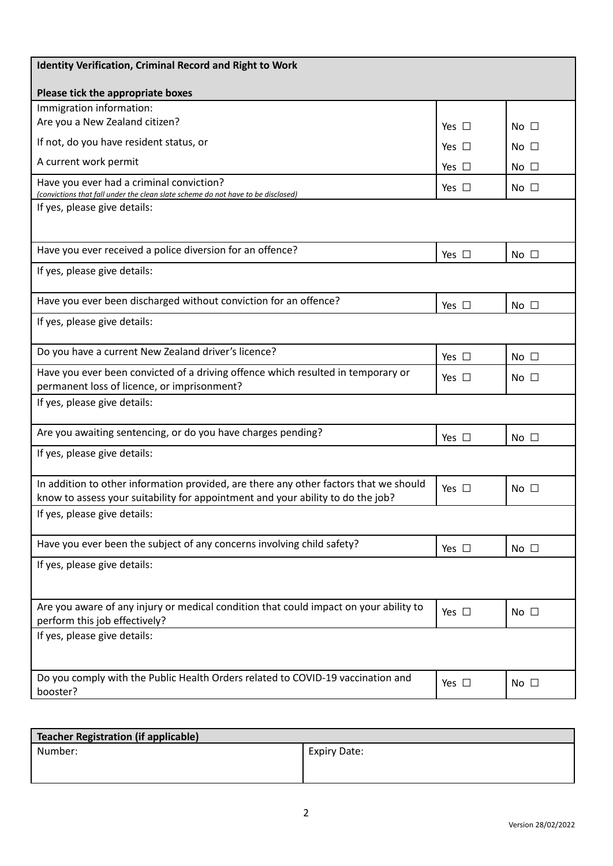| <b>Identity Verification, Criminal Record and Right to Work</b>                                                                                                          |               |                 |
|--------------------------------------------------------------------------------------------------------------------------------------------------------------------------|---------------|-----------------|
| Please tick the appropriate boxes                                                                                                                                        |               |                 |
| Immigration information:                                                                                                                                                 |               |                 |
| Are you a New Zealand citizen?                                                                                                                                           | Yes $\Box$    | No $\square$    |
| If not, do you have resident status, or                                                                                                                                  | Yes $\sqcup$  | No $\square$    |
| A current work permit                                                                                                                                                    | Yes $\square$ | No $\square$    |
| Have you ever had a criminal conviction?<br>(convictions that fall under the clean slate scheme do not have to be disclosed)                                             | Yes $\square$ | No $\square$    |
| If yes, please give details:                                                                                                                                             |               |                 |
|                                                                                                                                                                          |               |                 |
| Have you ever received a police diversion for an offence?                                                                                                                | Yes $\square$ | No <sub>1</sub> |
| If yes, please give details:                                                                                                                                             |               |                 |
| Have you ever been discharged without conviction for an offence?                                                                                                         | Yes $\square$ | $No$ $\Box$     |
| If yes, please give details:                                                                                                                                             |               |                 |
| Do you have a current New Zealand driver's licence?                                                                                                                      | Yes $\Box$    | No $\square$    |
| Have you ever been convicted of a driving offence which resulted in temporary or<br>permanent loss of licence, or imprisonment?                                          | Yes $\Box$    | No $\square$    |
| If yes, please give details:                                                                                                                                             |               |                 |
| Are you awaiting sentencing, or do you have charges pending?                                                                                                             | Yes $\square$ | No <sub>1</sub> |
| If yes, please give details:                                                                                                                                             |               |                 |
| In addition to other information provided, are there any other factors that we should<br>know to assess your suitability for appointment and your ability to do the job? | Yes $\Box$    | No $\square$    |
| If yes, please give details:                                                                                                                                             |               |                 |
| Have you ever been the subject of any concerns involving child safety?                                                                                                   | Yes $\square$ | No $\square$    |
| If yes, please give details:                                                                                                                                             |               |                 |
| Are you aware of any injury or medical condition that could impact on your ability to<br>perform this job effectively?                                                   | Yes $\square$ | No $\square$    |
| If yes, please give details:                                                                                                                                             |               |                 |
| Do you comply with the Public Health Orders related to COVID-19 vaccination and<br>booster?                                                                              | Yes $\square$ | No $\square$    |

| Teacher Registration (if applicable) |                     |
|--------------------------------------|---------------------|
| Number:                              | <b>Expiry Date:</b> |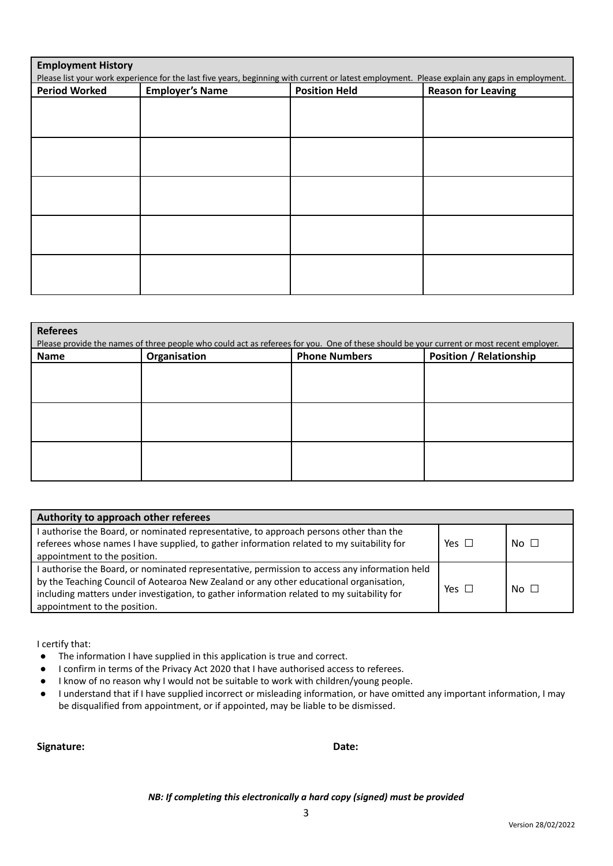| <b>Employment History</b><br>Please list your work experience for the last five years, beginning with current or latest employment. Please explain any gaps in employment. |                        |                      |                           |  |
|----------------------------------------------------------------------------------------------------------------------------------------------------------------------------|------------------------|----------------------|---------------------------|--|
| <b>Period Worked</b>                                                                                                                                                       | <b>Employer's Name</b> | <b>Position Held</b> | <b>Reason for Leaving</b> |  |
|                                                                                                                                                                            |                        |                      |                           |  |
|                                                                                                                                                                            |                        |                      |                           |  |
|                                                                                                                                                                            |                        |                      |                           |  |
|                                                                                                                                                                            |                        |                      |                           |  |
|                                                                                                                                                                            |                        |                      |                           |  |
|                                                                                                                                                                            |                        |                      |                           |  |
|                                                                                                                                                                            |                        |                      |                           |  |
|                                                                                                                                                                            |                        |                      |                           |  |
|                                                                                                                                                                            |                        |                      |                           |  |
|                                                                                                                                                                            |                        |                      |                           |  |

| <b>Referees</b><br>Please provide the names of three people who could act as referees for you. One of these should be your current or most recent employer. |              |                      |                                |  |
|-------------------------------------------------------------------------------------------------------------------------------------------------------------|--------------|----------------------|--------------------------------|--|
| Name                                                                                                                                                        | Organisation | <b>Phone Numbers</b> | <b>Position / Relationship</b> |  |
|                                                                                                                                                             |              |                      |                                |  |
|                                                                                                                                                             |              |                      |                                |  |
|                                                                                                                                                             |              |                      |                                |  |
|                                                                                                                                                             |              |                      |                                |  |
|                                                                                                                                                             |              |                      |                                |  |
|                                                                                                                                                             |              |                      |                                |  |

| Authority to approach other referees                                                                                                                                                                                                                                                                                  |            |             |
|-----------------------------------------------------------------------------------------------------------------------------------------------------------------------------------------------------------------------------------------------------------------------------------------------------------------------|------------|-------------|
| I authorise the Board, or nominated representative, to approach persons other than the<br>referees whose names I have supplied, to gather information related to my suitability for<br>appointment to the position.                                                                                                   | Yes $\Box$ | $No$ $\Box$ |
| I authorise the Board, or nominated representative, permission to access any information held<br>by the Teaching Council of Aotearoa New Zealand or any other educational organisation,<br>including matters under investigation, to gather information related to my suitability for<br>appointment to the position. | Yes $\Box$ | $No$ $\Box$ |

I certify that:

- The information I have supplied in this application is true and correct.
- I confirm in terms of the Privacy Act 2020 that I have authorised access to referees.
- I know of no reason why I would not be suitable to work with children/young people.
- I understand that if I have supplied incorrect or misleading information, or have omitted any important information, I may be disqualified from appointment, or if appointed, may be liable to be dismissed.

**Signature: Date:**

*NB: If completing this electronically a hard copy (signed) must be provided*